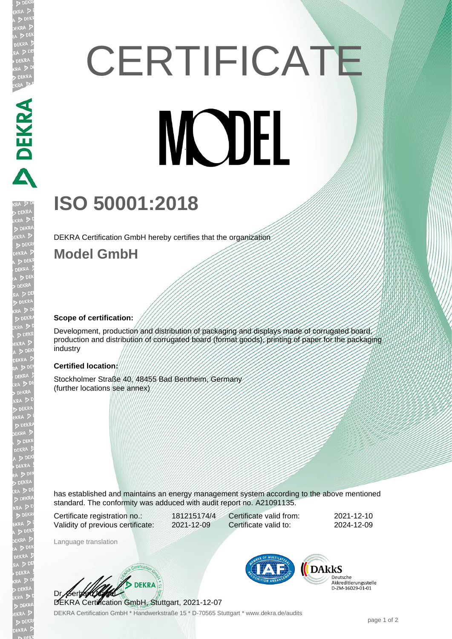# **CERTIFICATE MODEL**

# **ISO 50001:2018**

DEKRA Certification GmbH hereby certifies that the organization

### **Model GmbH**

A PERRA PERRA

EKR

#### **Scope of certification:**

Development, production and distribution of packaging and displays made of corrugated board, production and distribution of corrugated board (format goods), printing of paper for the packaging industry

#### **Certified location:**

Stockholmer Straße 40, 48455 Bad Bentheim, Germany (further locations see annex)

has established and maintains an energy management system according to the above mentioned standard. The conformity was adduced with audit report no. A21091135.

Certificate registration no.: 181215174/4 Validity of previous certificate: 2021-12-09

Certificate valid from: 2021-12-10 Certificate valid to: 2024-12-09

Language translation

**1. A DEKRA** Dr. Gerbe

DEKRA Certification GmbH, Stuttgart, 2021-12-07

DEKRA Certification GmbH \* Handwerkstraße 15 \* D-70565 Stuttgart \* www.dekra.de/audits



**DARKS** Deutsche Akkreditierungsstelle<br>D-ZM-16029-01-01